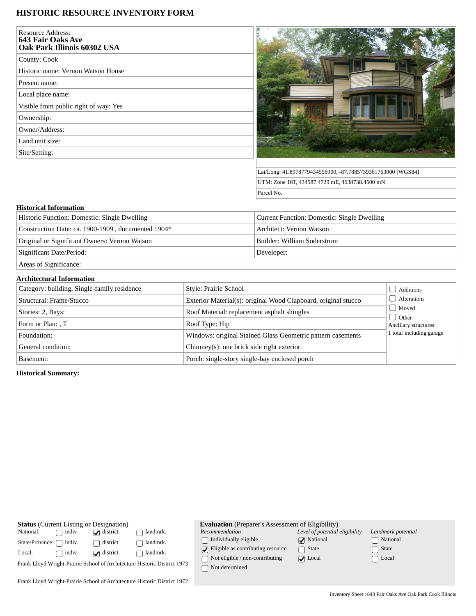# **HISTORIC RESOURCE INVENTORY FORM**

| <b>Resource Address:</b><br>643 Fair Oaks Ave<br>Oak Park Illinois 60302 USA |  |
|------------------------------------------------------------------------------|--|
| County: Cook                                                                 |  |
| Historic name: Vernon Watson House                                           |  |
| Present name:                                                                |  |
| Local place name:                                                            |  |
| Visible from public right of way: Yes                                        |  |
| Ownership:                                                                   |  |
| Owner/Address:                                                               |  |
| Land unit size:                                                              |  |
| Site/Setting:                                                                |  |
|                                                                              |  |



Lat/Long: 41.8978779434556900, -87.7885759361763000 [WGS84] UTM: Zone 16T, 434587.4729 mE, 4638738.4500 mN Parcel No.

## **Historical Information**

| Historic Function: Domestic: Single Dwelling       | Current Function: Domestic: Single Dwelling |
|----------------------------------------------------|---------------------------------------------|
| Construction Date: ca. 1900-1909, documented 1904* | Architect: Vernon Watson                    |
| Original or Significant Owners: Vernon Watson      | Builder: William Soderstrom                 |
| Significant Date/Period:                           | Developer:                                  |
| Areas of Significance:                             |                                             |

#### **Architectural Information**

| Category: building, Single-family residence | Style: Prairie School                                          | Additions                                                       |  |
|---------------------------------------------|----------------------------------------------------------------|-----------------------------------------------------------------|--|
| Structural: Frame/Stucco                    | Exterior Material(s): original Wood Clapboard, original stucco | <b>Alterations</b><br>  Moved<br>Other<br>Ancillary structures: |  |
| Stories: 2, Bays:                           | Roof Material: replacement asphalt shingles                    |                                                                 |  |
| Form or Plan: , T                           | Roof Type: Hip                                                 |                                                                 |  |
| Foundation:                                 | Windows: original Stained Glass Geometric pattern casements    | 1 total including garage                                        |  |
| General condition:                          | Chimney(s): one brick side right exterior                      |                                                                 |  |
| Basement:                                   | Porch: single-story single-bay enclosed porch                  |                                                                 |  |

# **Historical Summary:**

| <b>Status</b> (Current Listing or Designation)                           |        |                 |          | <b>Evaluation</b> (Preparer's Assessment of Eligibility) |                                |                    |
|--------------------------------------------------------------------------|--------|-----------------|----------|----------------------------------------------------------|--------------------------------|--------------------|
| National:                                                                | indiv. | $\Box$ district | landmrk. | Recommendation                                           | Level of potential eligibility | Landmark potential |
| State/Province:                                                          | indiv. | district        | landmrk. | Individually eligible                                    | $\sqrt{\phantom{a}}$ National  | National           |
| Local:                                                                   | indiv. | $\Box$ district | landmrk. | $\sqrt{\phantom{a}}$ Eligible as contributing resource   | State                          | ∩ State            |
| Frank Lloyd Wright-Prairie School of Architecture Historic District 1973 |        |                 |          | Not eligible / non-contributing<br>Not determined        | $\sqrt{ }$ Local               | $\Box$ Local       |
| Frank Lloyd Wright-Prairie School of Architecture Historic District 1972 |        |                 |          |                                                          |                                |                    |